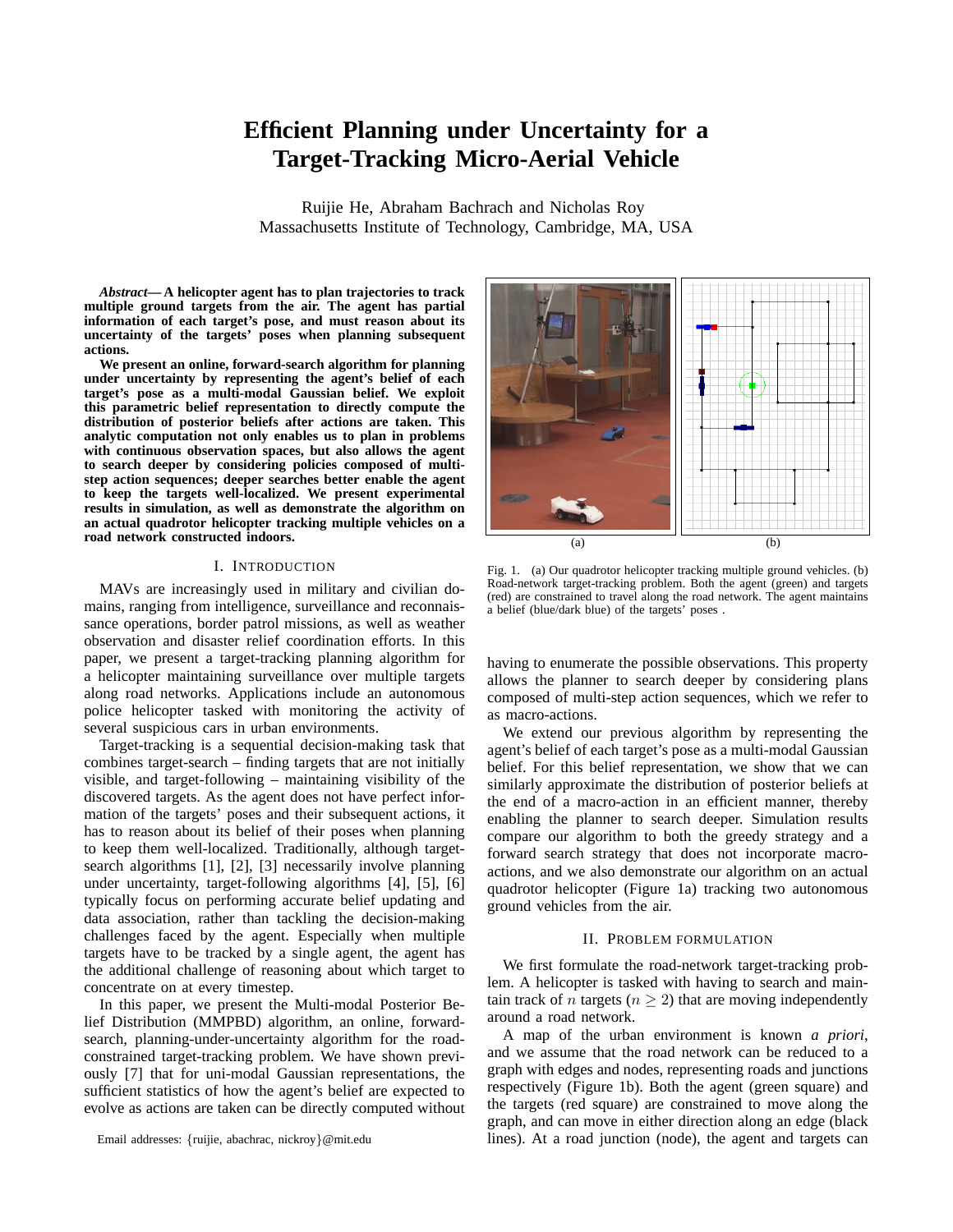# **Efficient Planning under Uncertainty for a Target-Tracking Micro-Aerial Vehicle**

Ruijie He, Abraham Bachrach and Nicholas Roy Massachusetts Institute of Technology, Cambridge, MA, USA

*Abstract***— A helicopter agent has to plan trajectories to track multiple ground targets from the air. The agent has partial information of each target's pose, and must reason about its uncertainty of the targets' poses when planning subsequent actions.**

**We present an online, forward-search algorithm for planning under uncertainty by representing the agent's belief of each target's pose as a multi-modal Gaussian belief. We exploit this parametric belief representation to directly compute the distribution of posterior beliefs after actions are taken. This analytic computation not only enables us to plan in problems with continuous observation spaces, but also allows the agent to search deeper by considering policies composed of multistep action sequences; deeper searches better enable the agent to keep the targets well-localized. We present experimental results in simulation, as well as demonstrate the algorithm on an actual quadrotor helicopter tracking multiple vehicles on a road network constructed indoors.**

## I. INTRODUCTION

MAVs are increasingly used in military and civilian domains, ranging from intelligence, surveillance and reconnaissance operations, border patrol missions, as well as weather observation and disaster relief coordination efforts. In this paper, we present a target-tracking planning algorithm for a helicopter maintaining surveillance over multiple targets along road networks. Applications include an autonomous police helicopter tasked with monitoring the activity of several suspicious cars in urban environments.

Target-tracking is a sequential decision-making task that combines target-search – finding targets that are not initially visible, and target-following – maintaining visibility of the discovered targets. As the agent does not have perfect information of the targets' poses and their subsequent actions, it has to reason about its belief of their poses when planning to keep them well-localized. Traditionally, although targetsearch algorithms [1], [2], [3] necessarily involve planning under uncertainty, target-following algorithms [4], [5], [6] typically focus on performing accurate belief updating and data association, rather than tackling the decision-making challenges faced by the agent. Especially when multiple targets have to be tracked by a single agent, the agent has the additional challenge of reasoning about which target to concentrate on at every timestep.

In this paper, we present the Multi-modal Posterior Belief Distribution (MMPBD) algorithm, an online, forwardsearch, planning-under-uncertainty algorithm for the roadconstrained target-tracking problem. We have shown previously [7] that for uni-modal Gaussian representations, the sufficient statistics of how the agent's belief are expected to evolve as actions are taken can be directly computed without



Fig. 1. (a) Our quadrotor helicopter tracking multiple ground vehicles. (b) Road-network target-tracking problem. Both the agent (green) and targets (red) are constrained to travel along the road network. The agent maintains a belief (blue/dark blue) of the targets' poses .

having to enumerate the possible observations. This property allows the planner to search deeper by considering plans composed of multi-step action sequences, which we refer to as macro-actions.

We extend our previous algorithm by representing the agent's belief of each target's pose as a multi-modal Gaussian belief. For this belief representation, we show that we can similarly approximate the distribution of posterior beliefs at the end of a macro-action in an efficient manner, thereby enabling the planner to search deeper. Simulation results compare our algorithm to both the greedy strategy and a forward search strategy that does not incorporate macroactions, and we also demonstrate our algorithm on an actual quadrotor helicopter (Figure 1a) tracking two autonomous ground vehicles from the air.

## II. PROBLEM FORMULATION

We first formulate the road-network target-tracking problem. A helicopter is tasked with having to search and maintain track of *n* targets ( $n \geq 2$ ) that are moving independently around a road network.

A map of the urban environment is known *a priori*, and we assume that the road network can be reduced to a graph with edges and nodes, representing roads and junctions respectively (Figure 1b). Both the agent (green square) and the targets (red square) are constrained to move along the graph, and can move in either direction along an edge (black lines). At a road junction (node), the agent and targets can

Email addresses: {ruijie, abachrac, nickroy}@mit.edu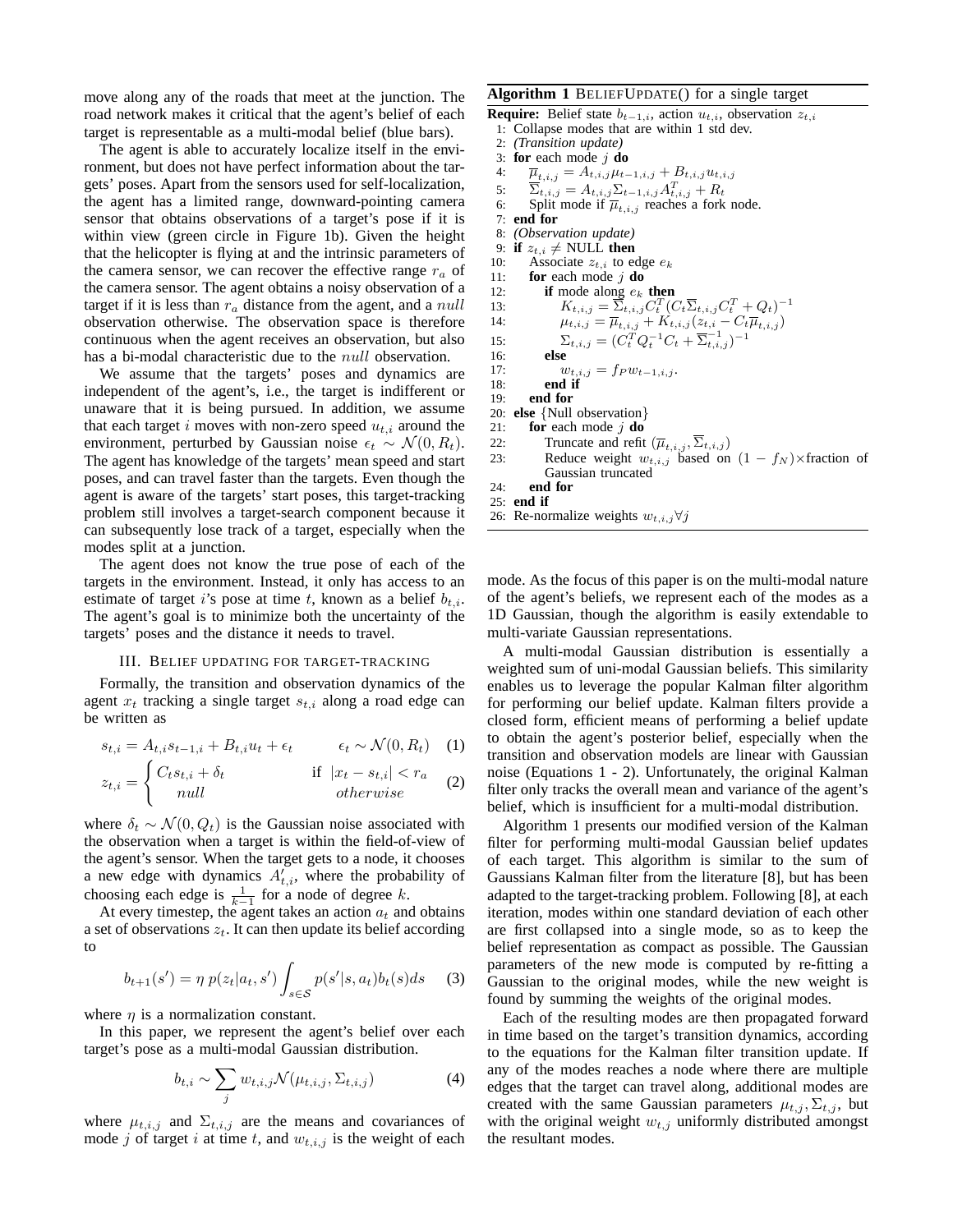move along any of the roads that meet at the junction. The road network makes it critical that the agent's belief of each target is representable as a multi-modal belief (blue bars).

The agent is able to accurately localize itself in the environment, but does not have perfect information about the targets' poses. Apart from the sensors used for self-localization, the agent has a limited range, downward-pointing camera sensor that obtains observations of a target's pose if it is within view (green circle in Figure 1b). Given the height that the helicopter is flying at and the intrinsic parameters of the camera sensor, we can recover the effective range  $r_a$  of the camera sensor. The agent obtains a noisy observation of a target if it is less than  $r_a$  distance from the agent, and a null observation otherwise. The observation space is therefore continuous when the agent receives an observation, but also has a bi-modal characteristic due to the *null* observation.

We assume that the targets' poses and dynamics are independent of the agent's, i.e., the target is indifferent or unaware that it is being pursued. In addition, we assume that each target i moves with non-zero speed  $u_{t,i}$  around the environment, perturbed by Gaussian noise  $\epsilon_t \sim \mathcal{N}(0, R_t)$ . The agent has knowledge of the targets' mean speed and start poses, and can travel faster than the targets. Even though the agent is aware of the targets' start poses, this target-tracking problem still involves a target-search component because it can subsequently lose track of a target, especially when the modes split at a junction.

The agent does not know the true pose of each of the targets in the environment. Instead, it only has access to an estimate of target i's pose at time t, known as a belief  $b_{t,i}$ . The agent's goal is to minimize both the uncertainty of the targets' poses and the distance it needs to travel.

#### III. BELIEF UPDATING FOR TARGET-TRACKING

Formally, the transition and observation dynamics of the agent  $x_t$  tracking a single target  $s_{t,i}$  along a road edge can be written as

$$
s_{t,i} = A_{t,i} s_{t-1,i} + B_{t,i} u_t + \epsilon_t \qquad \epsilon_t \sim \mathcal{N}(0, R_t) \quad (1)
$$

$$
z_{t,i} = \begin{cases} C_t s_{t,i} + \delta_t & \text{if } |x_t - s_{t,i}| < r_a \\ null & otherwise \end{cases}
$$
 (2)

where  $\delta_t \sim \mathcal{N}(0, Q_t)$  is the Gaussian noise associated with the observation when a target is within the field-of-view of the agent's sensor. When the target gets to a node, it chooses a new edge with dynamics  $A'_{t,i}$ , where the probability of choosing each edge is  $\frac{1}{k-1}$  for a node of degree k.

At every timestep, the agent takes an action  $a_t$  and obtains a set of observations  $z_t$ . It can then update its belief according to

$$
b_{t+1}(s') = \eta \ p(z_t|a_t, s') \int_{s \in S} p(s'|s, a_t) b_t(s) ds \qquad (3)
$$

where  $\eta$  is a normalization constant.

In this paper, we represent the agent's belief over each target's pose as a multi-modal Gaussian distribution.

$$
b_{t,i} \sim \sum_j w_{t,i,j} \mathcal{N}(\mu_{t,i,j}, \Sigma_{t,i,j})
$$
 (4)

where  $\mu_{t,i,j}$  and  $\Sigma_{t,i,j}$  are the means and covariances of mode j of target i at time t, and  $w_{t,i,j}$  is the weight of each

## **Algorithm 1** BELIEFUPDATE() for a single target

**Require:** Belief state  $b_{t-1,i}$ , action  $u_{t,i}$ , observation  $z_{t,i}$ 

- 1: Collapse modes that are within 1 std dev.
- 2: *(Transition update)*
- 3: **for** each mode j **do**
- 4:  $\overline{\mu}_{t,i,j} = A_{t,i,j} \mu_{t-1,i,j} + B_{t,i,j} u_{t,i,j}$
- 5:  $\sum_{t,i,j}$  =  $A_{t,i,j} \sum_{t-1,i,j} A_{t,i,j}^T + R_t$
- 6: Split mode if  $\overline{\mu}_{t,i,j}$  reaches a fork node.
- 7: **end for** 8: *(Observation update)*
- 9: **if**  $z_{t,i} \neq \text{NULL}$  **then**<br>10: Associate  $z_{t,i}$  to e
- Associate  $z_{t,i}$  to edge  $e_k$
- 11: **for** each mode j **do**
- 12: **if** mode along  $e_k$  **then** 13:  $K_{t,i,j} = \overline{\tilde{\Sigma}}_{t,i,j} C_t^T$  $\frac{d}{dt} \left( C_t \overline{\Sigma}_{t,i,j} C_t^T + Q_t \right)^{-1}$

13. 
$$
\mathbf{h}_{t,i,j} = \mathbf{H}_{t,i,j} + K_{t,i,j}(z_{t,i} - C_t \overline{\mu}_{t,i,j})
$$
  
14. 
$$
\mu_{t,i,j} = \overline{\mu}_{t,i,j} + K_{t,i,j}(z_{t,i} - C_t \overline{\mu}_{t,i,j})
$$

15: 
$$
\sum_{t,i,j} C(T_{\mathcal{U}}^{T} Q_{t}^{-1} C_{t} + \overline{\Sigma}_{t,i,j}^{-1})^{-1}
$$

16: **else**

17:  $w_{t,i,j} = f_P w_{t-1,i,j}$ .

18: **end if**

19: **end for**

- 20: **else** {Null observation}<br>21: **for** each mode  $i$  **do**
- for each mode j do
- 22: Truncate and refit  $(\overline{\mu}_{t,i,j}, \overline{\Sigma}_{t,i,j})$ <br>23: Reduce weight  $w_{t,i,j}$  based on
- Reduce weight  $w_{t,i,j}$  based on  $(1 f_N) \times$  fraction of Gaussian truncated
- 24: **end for** 25: **end if**
- 26: Re-normalize weights  $w_{t,i,j} \forall j$

mode. As the focus of this paper is on the multi-modal nature of the agent's beliefs, we represent each of the modes as a 1D Gaussian, though the algorithm is easily extendable to multi-variate Gaussian representations.

A multi-modal Gaussian distribution is essentially a weighted sum of uni-modal Gaussian beliefs. This similarity enables us to leverage the popular Kalman filter algorithm for performing our belief update. Kalman filters provide a closed form, efficient means of performing a belief update to obtain the agent's posterior belief, especially when the transition and observation models are linear with Gaussian noise (Equations 1 - 2). Unfortunately, the original Kalman filter only tracks the overall mean and variance of the agent's belief, which is insufficient for a multi-modal distribution.

Algorithm 1 presents our modified version of the Kalman filter for performing multi-modal Gaussian belief updates of each target. This algorithm is similar to the sum of Gaussians Kalman filter from the literature [8], but has been adapted to the target-tracking problem. Following [8], at each iteration, modes within one standard deviation of each other are first collapsed into a single mode, so as to keep the belief representation as compact as possible. The Gaussian parameters of the new mode is computed by re-fitting a Gaussian to the original modes, while the new weight is found by summing the weights of the original modes.

Each of the resulting modes are then propagated forward in time based on the target's transition dynamics, according to the equations for the Kalman filter transition update. If any of the modes reaches a node where there are multiple edges that the target can travel along, additional modes are created with the same Gaussian parameters  $\mu_{t,j}, \Sigma_{t,j}$ , but with the original weight  $w_{t,j}$  uniformly distributed amongst the resultant modes.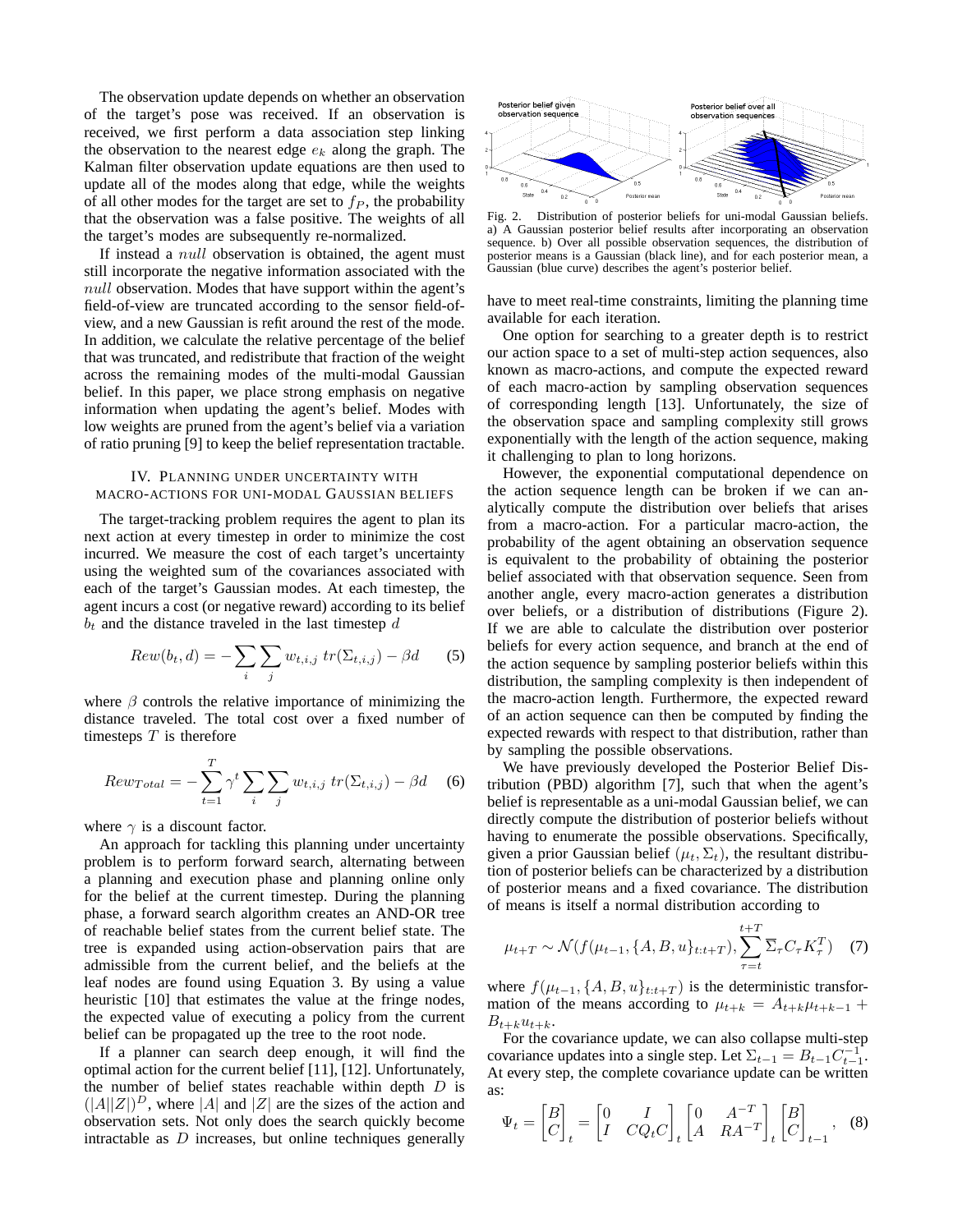The observation update depends on whether an observation of the target's pose was received. If an observation is received, we first perform a data association step linking the observation to the nearest edge  $e_k$  along the graph. The Kalman filter observation update equations are then used to update all of the modes along that edge, while the weights of all other modes for the target are set to  $f<sub>P</sub>$ , the probability that the observation was a false positive. The weights of all the target's modes are subsequently re-normalized.

If instead a null observation is obtained, the agent must still incorporate the negative information associated with the null observation. Modes that have support within the agent's field-of-view are truncated according to the sensor field-ofview, and a new Gaussian is refit around the rest of the mode. In addition, we calculate the relative percentage of the belief that was truncated, and redistribute that fraction of the weight across the remaining modes of the multi-modal Gaussian belief. In this paper, we place strong emphasis on negative information when updating the agent's belief. Modes with low weights are pruned from the agent's belief via a variation of ratio pruning [9] to keep the belief representation tractable.

## IV. PLANNING UNDER UNCERTAINTY WITH MACRO-ACTIONS FOR UNI-MODAL GAUSSIAN BELIEFS

The target-tracking problem requires the agent to plan its next action at every timestep in order to minimize the cost incurred. We measure the cost of each target's uncertainty using the weighted sum of the covariances associated with each of the target's Gaussian modes. At each timestep, the agent incurs a cost (or negative reward) according to its belief  $b_t$  and the distance traveled in the last timestep  $d$ 

$$
Rew(b_t, d) = -\sum_{i} \sum_{j} w_{t,i,j} tr(\Sigma_{t,i,j}) - \beta d \qquad (5)
$$

where  $\beta$  controls the relative importance of minimizing the distance traveled. The total cost over a fixed number of timesteps  $T$  is therefore

$$
Rew_{Total} = -\sum_{t=1}^{T} \gamma^t \sum_{i} \sum_{j} w_{t,i,j} \ tr(\Sigma_{t,i,j}) - \beta d \quad (6)
$$

where  $\gamma$  is a discount factor.

An approach for tackling this planning under uncertainty problem is to perform forward search, alternating between a planning and execution phase and planning online only for the belief at the current timestep. During the planning phase, a forward search algorithm creates an AND-OR tree of reachable belief states from the current belief state. The tree is expanded using action-observation pairs that are admissible from the current belief, and the beliefs at the leaf nodes are found using Equation 3. By using a value heuristic [10] that estimates the value at the fringe nodes, the expected value of executing a policy from the current belief can be propagated up the tree to the root node.

If a planner can search deep enough, it will find the optimal action for the current belief [11], [12]. Unfortunately, the number of belief states reachable within depth  $D$  is  $(|A||Z|)^{D}$ , where |A| and |Z| are the sizes of the action and observation sets. Not only does the search quickly become intractable as D increases, but online techniques generally



Fig. 2. Distribution of posterior beliefs for uni-modal Gaussian beliefs. a) A Gaussian posterior belief results after incorporating an observation sequence. b) Over all possible observation sequences, the distribution of posterior means is a Gaussian (black line), and for each posterior mean, a Gaussian (blue curve) describes the agent's posterior belief.

have to meet real-time constraints, limiting the planning time available for each iteration.

One option for searching to a greater depth is to restrict our action space to a set of multi-step action sequences, also known as macro-actions, and compute the expected reward of each macro-action by sampling observation sequences of corresponding length [13]. Unfortunately, the size of the observation space and sampling complexity still grows exponentially with the length of the action sequence, making it challenging to plan to long horizons.

However, the exponential computational dependence on the action sequence length can be broken if we can analytically compute the distribution over beliefs that arises from a macro-action. For a particular macro-action, the probability of the agent obtaining an observation sequence is equivalent to the probability of obtaining the posterior belief associated with that observation sequence. Seen from another angle, every macro-action generates a distribution over beliefs, or a distribution of distributions (Figure 2). If we are able to calculate the distribution over posterior beliefs for every action sequence, and branch at the end of the action sequence by sampling posterior beliefs within this distribution, the sampling complexity is then independent of the macro-action length. Furthermore, the expected reward of an action sequence can then be computed by finding the expected rewards with respect to that distribution, rather than by sampling the possible observations.

We have previously developed the Posterior Belief Distribution (PBD) algorithm [7], such that when the agent's belief is representable as a uni-modal Gaussian belief, we can directly compute the distribution of posterior beliefs without having to enumerate the possible observations. Specifically, given a prior Gaussian belief  $(\mu_t, \Sigma_t)$ , the resultant distribution of posterior beliefs can be characterized by a distribution of posterior means and a fixed covariance. The distribution of means is itself a normal distribution according to

$$
\mu_{t+T} \sim \mathcal{N}(f(\mu_{t-1}, \{A, B, u\}_{t:t+T}), \sum_{\tau=t}^{t+T} \overline{\Sigma}_{\tau} C_{\tau} K_{\tau}^{T})
$$
 (7)

where  $f(\mu_{t-1}, \{A, B, u\}_{t:t+T})$  is the deterministic transformation of the means according to  $\mu_{t+k} = A_{t+k}\mu_{t+k-1} +$  $B_{t+k}u_{t+k}$ .

For the covariance update, we can also collapse multi-step covariance updates into a single step. Let  $\Sigma_{t-1} = B_{t-1} C_{t-1}^{-1}$ . At every step, the complete covariance update can be written as:

$$
\Psi_t = \begin{bmatrix} B \\ C \end{bmatrix}_t = \begin{bmatrix} 0 & I \\ I & CQ_t C \end{bmatrix}_t \begin{bmatrix} 0 & A^{-T} \\ A & RA^{-T} \end{bmatrix}_t \begin{bmatrix} B \\ C \end{bmatrix}_{t-1}, \quad (8)
$$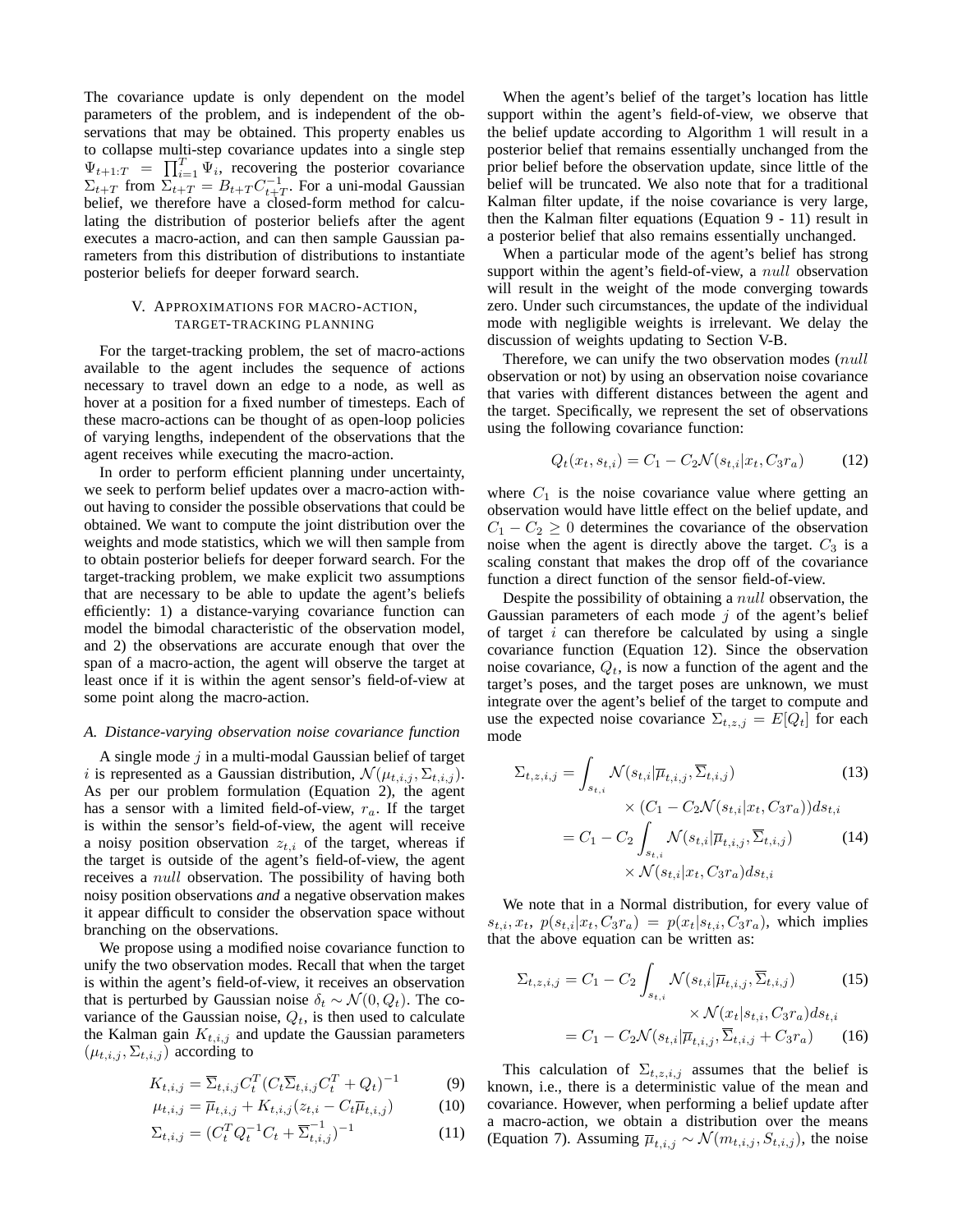The covariance update is only dependent on the model parameters of the problem, and is independent of the observations that may be obtained. This property enables us to collapse multi-step covariance updates into a single step  $\Psi_{t+1:T}$  =  $\prod_{i=1}^{T} \Psi_i$ , recovering the posterior covariance  $\Sigma_{t+T}$  from  $\Sigma_{t+T} = B_{t+T} C_{t+T}^{-1}$ . For a uni-modal Gaussian belief, we therefore have a closed-form method for calculating the distribution of posterior beliefs after the agent executes a macro-action, and can then sample Gaussian parameters from this distribution of distributions to instantiate posterior beliefs for deeper forward search.

## V. APPROXIMATIONS FOR MACRO-ACTION, TARGET-TRACKING PLANNING

For the target-tracking problem, the set of macro-actions available to the agent includes the sequence of actions necessary to travel down an edge to a node, as well as hover at a position for a fixed number of timesteps. Each of these macro-actions can be thought of as open-loop policies of varying lengths, independent of the observations that the agent receives while executing the macro-action.

In order to perform efficient planning under uncertainty, we seek to perform belief updates over a macro-action without having to consider the possible observations that could be obtained. We want to compute the joint distribution over the weights and mode statistics, which we will then sample from to obtain posterior beliefs for deeper forward search. For the target-tracking problem, we make explicit two assumptions that are necessary to be able to update the agent's beliefs efficiently: 1) a distance-varying covariance function can model the bimodal characteristic of the observation model, and 2) the observations are accurate enough that over the span of a macro-action, the agent will observe the target at least once if it is within the agent sensor's field-of-view at some point along the macro-action.

#### *A. Distance-varying observation noise covariance function*

A single mode  $j$  in a multi-modal Gaussian belief of target i is represented as a Gaussian distribution,  $\mathcal{N}(\mu_{t,i,j}, \Sigma_{t,i,j}).$ As per our problem formulation (Equation 2), the agent has a sensor with a limited field-of-view,  $r_a$ . If the target is within the sensor's field-of-view, the agent will receive a noisy position observation  $z_{t,i}$  of the target, whereas if the target is outside of the agent's field-of-view, the agent receives a null observation. The possibility of having both noisy position observations *and* a negative observation makes it appear difficult to consider the observation space without branching on the observations.

We propose using a modified noise covariance function to unify the two observation modes. Recall that when the target is within the agent's field-of-view, it receives an observation that is perturbed by Gaussian noise  $\delta_t \sim \mathcal{N}(0, Q_t)$ . The covariance of the Gaussian noise,  $Q_t$ , is then used to calculate the Kalman gain  $K_{t,i,j}$  and update the Gaussian parameters  $(\mu_{t,i,j}, \Sigma_{t,i,j})$  according to

$$
K_{t,i,j} = \overline{\Sigma}_{t,i,j} C_t^T (C_t \overline{\Sigma}_{t,i,j} C_t^T + Q_t)^{-1}
$$
(9)

$$
\mu_{t,i,j} = \overline{\mu}_{t,i,j} + K_{t,i,j}(z_{t,i} - C_t \overline{\mu}_{t,i,j})
$$
(10)

$$
\Sigma_{t,i,j} = (C_t^T Q_t^{-1} C_t + \overline{\Sigma}_{t,i,j}^{-1})^{-1}
$$
\n(11)

When the agent's belief of the target's location has little support within the agent's field-of-view, we observe that the belief update according to Algorithm 1 will result in a posterior belief that remains essentially unchanged from the prior belief before the observation update, since little of the belief will be truncated. We also note that for a traditional Kalman filter update, if the noise covariance is very large, then the Kalman filter equations (Equation 9 - 11) result in a posterior belief that also remains essentially unchanged.

When a particular mode of the agent's belief has strong support within the agent's field-of-view, a *null* observation will result in the weight of the mode converging towards zero. Under such circumstances, the update of the individual mode with negligible weights is irrelevant. We delay the discussion of weights updating to Section V-B.

Therefore, we can unify the two observation modes (null observation or not) by using an observation noise covariance that varies with different distances between the agent and the target. Specifically, we represent the set of observations using the following covariance function:

$$
Q_t(x_t, s_{t,i}) = C_1 - C_2 \mathcal{N}(s_{t,i}|x_t, C_3 r_a)
$$
 (12)

where  $C_1$  is the noise covariance value where getting an observation would have little effect on the belief update, and  $C_1 - C_2 \geq 0$  determines the covariance of the observation noise when the agent is directly above the target.  $C_3$  is a scaling constant that makes the drop off of the covariance function a direct function of the sensor field-of-view.

Despite the possibility of obtaining a null observation, the Gaussian parameters of each mode  $j$  of the agent's belief of target  $i$  can therefore be calculated by using a single covariance function (Equation 12). Since the observation noise covariance,  $Q_t$ , is now a function of the agent and the target's poses, and the target poses are unknown, we must integrate over the agent's belief of the target to compute and use the expected noise covariance  $\Sigma_{t,z,j} = E[Q_t]$  for each mode

$$
\Sigma_{t,z,i,j} = \int_{s_{t,i}} \mathcal{N}(s_{t,i}|\overline{\mu}_{t,i,j}, \overline{\Sigma}_{t,i,j})
$$
(13)  

$$
\times (C_1 - C_2 \mathcal{N}(s_{t,i}|x_t, C_3 r_a)) ds_{t,i}
$$

$$
= C_1 - C_2 \int_{s_{t,i}} \mathcal{N}(s_{t,i}|\overline{\mu}_{t,i,j}, \overline{\Sigma}_{t,i,j})
$$
(14)  

$$
\times \mathcal{N}(s_{t,i}|x_t, C_3 r_a) ds_{t,i}
$$

We note that in a Normal distribution, for every value of  $s_{t,i}, x_t$ ,  $p(s_{t,i}|x_t, C_3r_a) = p(x_t|s_{t,i}, C_3r_a)$ , which implies that the above equation can be written as:

$$
\Sigma_{t,z,i,j} = C_1 - C_2 \int_{s_{t,i}} \mathcal{N}(s_{t,i}|\overline{\mu}_{t,i,j}, \overline{\Sigma}_{t,i,j})
$$
(15)  

$$
\times \mathcal{N}(x_t|s_{t,i}, C_3 r_a) ds_{t,i}
$$

$$
= C_1 - C_2 \mathcal{N}(s_{t,i}|\overline{\mu}_{t,i,j}, \overline{\Sigma}_{t,i,j} + C_3 r_a)
$$
(16)

This calculation of  $\Sigma_{t,z,i,j}$  assumes that the belief is known, i.e., there is a deterministic value of the mean and covariance. However, when performing a belief update after a macro-action, we obtain a distribution over the means (Equation 7). Assuming  $\overline{\mu}_{t,i,j} \sim \mathcal{N}(m_{t,i,j}, S_{t,i,j})$ , the noise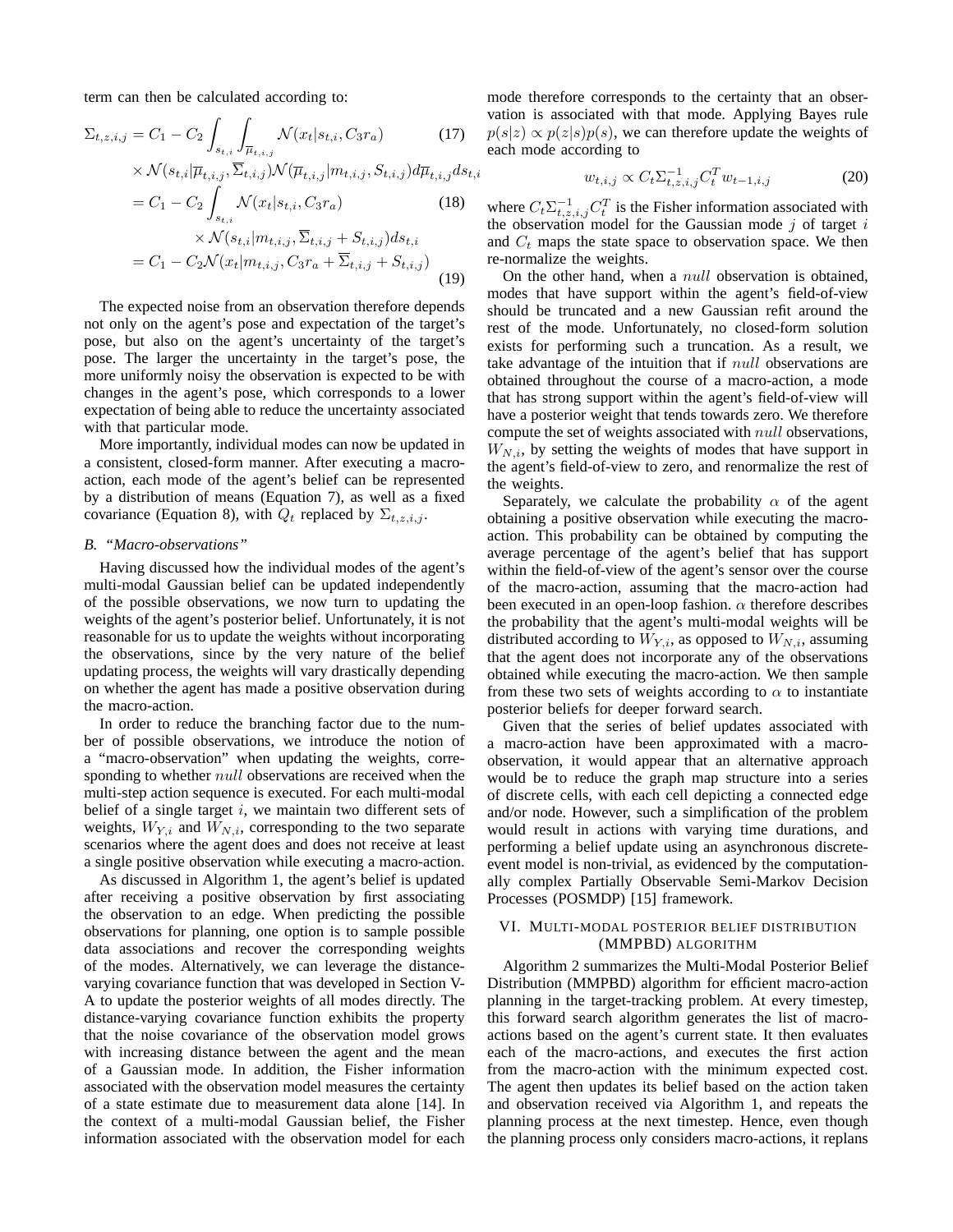term can then be calculated according to:

$$
\Sigma_{t,z,i,j} = C_1 - C_2 \int_{s_{t,i}} \int_{\overline{\mu}_{t,i,j}} \mathcal{N}(x_t | s_{t,i}, C_3 r_a)
$$
(17)

$$
\times \mathcal{N}(s_{t,i}|\overline{\mu}_{t,i,j}, \Sigma_{t,i,j})\mathcal{N}(\overline{\mu}_{t,i,j}|m_{t,i,j}, S_{t,i,j})d\overline{\mu}_{t,i,j}ds_{t,i}
$$
  
=  $C_1 - C_2 \int_{s_{t,i}} \mathcal{N}(x_t|s_{t,i}, C_3r_a)$  (18)  

$$
\times \mathcal{N}(s_{t,i}|m_{t,i,j}, \overline{\Sigma}_{t,i,j} + S_{t,i,j})ds_{t,i}
$$
  
=  $C_1 - C_2 \mathcal{N}(x_t|m_{t,i,j}, C_3r_a + \overline{\Sigma}_{t,i,j} + S_{t,i,j})$  (19)

The expected noise from an observation therefore depends not only on the agent's pose and expectation of the target's pose, but also on the agent's uncertainty of the target's pose. The larger the uncertainty in the target's pose, the more uniformly noisy the observation is expected to be with changes in the agent's pose, which corresponds to a lower expectation of being able to reduce the uncertainty associated with that particular mode.

More importantly, individual modes can now be updated in a consistent, closed-form manner. After executing a macroaction, each mode of the agent's belief can be represented by a distribution of means (Equation 7), as well as a fixed covariance (Equation 8), with  $Q_t$  replaced by  $\Sigma_{t,z,i,j}$ .

#### *B. "Macro-observations"*

Having discussed how the individual modes of the agent's multi-modal Gaussian belief can be updated independently of the possible observations, we now turn to updating the weights of the agent's posterior belief. Unfortunately, it is not reasonable for us to update the weights without incorporating the observations, since by the very nature of the belief updating process, the weights will vary drastically depending on whether the agent has made a positive observation during the macro-action.

In order to reduce the branching factor due to the number of possible observations, we introduce the notion of a "macro-observation" when updating the weights, corresponding to whether *null* observations are received when the multi-step action sequence is executed. For each multi-modal belief of a single target  $i$ , we maintain two different sets of weights,  $W_{Y,i}$  and  $W_{N,i}$ , corresponding to the two separate scenarios where the agent does and does not receive at least a single positive observation while executing a macro-action.

As discussed in Algorithm 1, the agent's belief is updated after receiving a positive observation by first associating the observation to an edge. When predicting the possible observations for planning, one option is to sample possible data associations and recover the corresponding weights of the modes. Alternatively, we can leverage the distancevarying covariance function that was developed in Section V-A to update the posterior weights of all modes directly. The distance-varying covariance function exhibits the property that the noise covariance of the observation model grows with increasing distance between the agent and the mean of a Gaussian mode. In addition, the Fisher information associated with the observation model measures the certainty of a state estimate due to measurement data alone [14]. In the context of a multi-modal Gaussian belief, the Fisher information associated with the observation model for each

mode therefore corresponds to the certainty that an observation is associated with that mode. Applying Bayes rule  $p(s|z) \propto p(z|s)p(s)$ , we can therefore update the weights of each mode according to

$$
w_{t,i,j} \propto C_t \Sigma_{t,z,i,j}^{-1} C_t^T w_{t-1,i,j}
$$
 (20)

where  $C_t \sum_{t,z,i,j}^{-1} C_t^T$  is the Fisher information associated with the observation model for the Gaussian mode  $i$  of target  $i$ and  $C_t$  maps the state space to observation space. We then re-normalize the weights.

On the other hand, when a null observation is obtained, modes that have support within the agent's field-of-view should be truncated and a new Gaussian refit around the rest of the mode. Unfortunately, no closed-form solution exists for performing such a truncation. As a result, we take advantage of the intuition that if null observations are obtained throughout the course of a macro-action, a mode that has strong support within the agent's field-of-view will have a posterior weight that tends towards zero. We therefore compute the set of weights associated with null observations,  $W_{N,i}$ , by setting the weights of modes that have support in the agent's field-of-view to zero, and renormalize the rest of the weights.

Separately, we calculate the probability  $\alpha$  of the agent obtaining a positive observation while executing the macroaction. This probability can be obtained by computing the average percentage of the agent's belief that has support within the field-of-view of the agent's sensor over the course of the macro-action, assuming that the macro-action had been executed in an open-loop fashion.  $\alpha$  therefore describes the probability that the agent's multi-modal weights will be distributed according to  $W_{Y,i}$ , as opposed to  $W_{N,i}$ , assuming that the agent does not incorporate any of the observations obtained while executing the macro-action. We then sample from these two sets of weights according to  $\alpha$  to instantiate posterior beliefs for deeper forward search.

Given that the series of belief updates associated with a macro-action have been approximated with a macroobservation, it would appear that an alternative approach would be to reduce the graph map structure into a series of discrete cells, with each cell depicting a connected edge and/or node. However, such a simplification of the problem would result in actions with varying time durations, and performing a belief update using an asynchronous discreteevent model is non-trivial, as evidenced by the computationally complex Partially Observable Semi-Markov Decision Processes (POSMDP) [15] framework.

## VI. MULTI-MODAL POSTERIOR BELIEF DISTRIBUTION (MMPBD) ALGORITHM

Algorithm 2 summarizes the Multi-Modal Posterior Belief Distribution (MMPBD) algorithm for efficient macro-action planning in the target-tracking problem. At every timestep, this forward search algorithm generates the list of macroactions based on the agent's current state. It then evaluates each of the macro-actions, and executes the first action from the macro-action with the minimum expected cost. The agent then updates its belief based on the action taken and observation received via Algorithm 1, and repeats the planning process at the next timestep. Hence, even though the planning process only considers macro-actions, it replans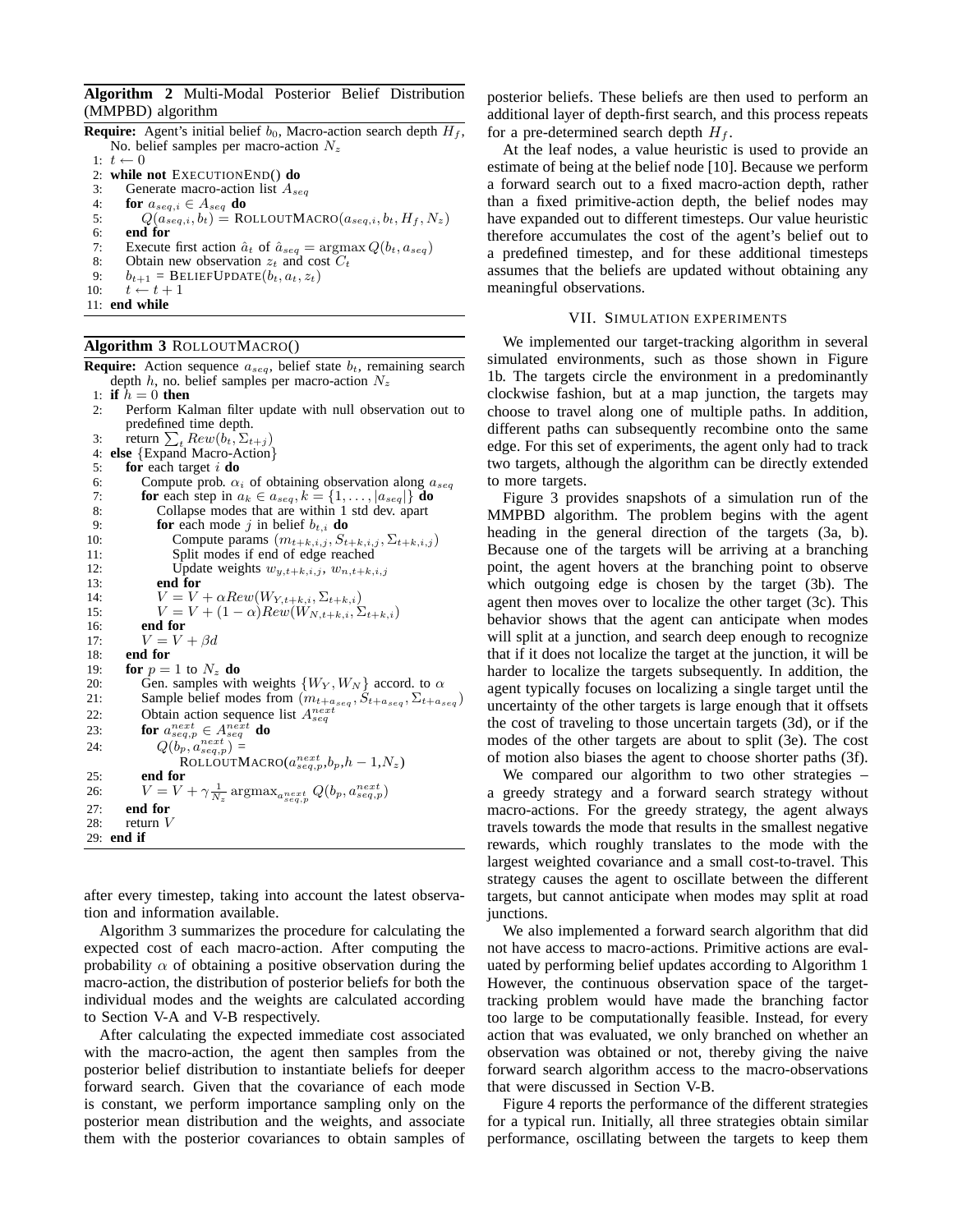**Algorithm 2** Multi-Modal Posterior Belief Distribution (MMPBD) algorithm

**Require:** Agent's initial belief  $b_0$ , Macro-action search depth  $H_f$ , No. belief samples per macro-action  $N_z$  $1: t \leftarrow 0$ 2: **while not** EXECUTIONEND() **do**<br>3: Generate macro-action list  $A_{se}$ 3: Generate macro-action list  $A_{seq}$ <br>4: **for**  $a_{seq}$   $\in$   $A_{seq}$  **do for**  $a_{seq,i} \in A_{seq}$  **do** 5:  $Q(as_{eq,i}, b_t) = \text{ROLLOUTMACRO}(a_{seq,i}, b_t, H_f, N_z)$ <br>6: **end for** 6: **end for** 7: Execute first action  $\hat{a}_t$  of  $\hat{a}_{seq} = \operatorname{argmax} Q(b_t, a_{seq})$ 8: Obtain new observation  $z_t$  and cost  $C_t$ <br>9:  $b_{t+1} = \text{BELIEFIPDATE}(b_t, a_t, z_t)$  $b_{t+1} = \text{BELIEFUPDATE}(b_t, a_t, z_t)$ 10:  $t \leftarrow t + 1$ 11: **end while**

#### **Algorithm 3** ROLLOUTMACRO()

**Require:** Action sequence  $a_{seq}$ , belief state  $b_t$ , remaining search depth h, no. belief samples per macro-action  $N_z$ 

1: **if**  $\bar{h} = 0$  **then** 

2: Perform Kalman filter update with null observation out to predefined time depth. 3: return  $\sum_{t}$   $Rew(b_t, \sum_{t+j})$ 4: **else** {Expand Macro-Action}<br>5: **for** each target *i* **do** 

5: **for** each target i **do** 6: Compute prob.  $\alpha_i$  of obtaining observation along  $a_{seq}$ <br>7: **for** each step in  $a_k \in a_{seq}$ ,  $k = \{1, \ldots, |a_{seq}|\}$  **do for** each step in  $a_k \in a_{seq}, k = \{1, \ldots, |a_{seq}|\}$  **do** 8: Collapse modes that are within 1 std dev. apart 9: **for** each mode *j* in belief  $b_{t,i}$  **do** 10: **Compute params**  $(m_{t+k}, i, i, S_t)$ 10: Compute params  $(m_{t+k,i,j}, S_{t+k,i,j}, \Sigma_{t+k,i,j})$ <br>11: Split modes if end of edge reached Split modes if end of edge reached 12: Update weights  $w_{y,t+k,i,j}$ ,  $w_{n,t+k,i,j}$ <br>13: **end for** end for 14:  $V = V + \alpha Rew(W_{Y,t+k,i}, \Sigma_{t+k,i})$ <br>
15:  $V = V + (1 - \alpha)Rew(W_{N,t+k,i}, \Sigma_{t+k,i})$  $V = V + (1 - \alpha)Rew(W_{N,t+k,i}, \Sigma_{t+k,i})$ 16: **end for**  $V = V$  $V = V + \beta d$ 18: **end for** 19: **for**  $p = 1$  to  $N_z$  **do** 20: Gen. samples with weights  $\{W_Y, W_N\}$  accord. to  $\alpha$ <br>21: Sample belief modes from  $(m_{t+a_{\text{max}}}, S_{t+a_{\text{max}}}, \Sigma_{t+a_{\text{max}}})$ 21: Sample belief modes from  $(m_{t+a_{seq}}, S_{t+a_{seq}}, \Sigma_{t+a_{seq}})$ 22: Obtain action sequence list  $A_{seq}^{next}$ 23: **for**  $a_{seq,p}^{next} \in A_{seq}^{next}$  do 24:  $Q(b_p, a_{seq, p}^{next}) =$  $\text{ROLLOUTMACRO}(a_{seq, p}^{next}, b_p, h-1, N_z)$ 25: **end for** 26:  $V = V + \gamma \frac{1}{N_z} \arg \max_{a_{seq,p}^{next}} Q(b_p, a_{seq,p}^{next})$ 27: **end for** 28: return V 29: **end if**

after every timestep, taking into account the latest observation and information available.

Algorithm 3 summarizes the procedure for calculating the expected cost of each macro-action. After computing the probability  $\alpha$  of obtaining a positive observation during the macro-action, the distribution of posterior beliefs for both the individual modes and the weights are calculated according to Section V-A and V-B respectively.

After calculating the expected immediate cost associated with the macro-action, the agent then samples from the posterior belief distribution to instantiate beliefs for deeper forward search. Given that the covariance of each mode is constant, we perform importance sampling only on the posterior mean distribution and the weights, and associate them with the posterior covariances to obtain samples of posterior beliefs. These beliefs are then used to perform an additional layer of depth-first search, and this process repeats for a pre-determined search depth  $H_f$ .

At the leaf nodes, a value heuristic is used to provide an estimate of being at the belief node [10]. Because we perform a forward search out to a fixed macro-action depth, rather than a fixed primitive-action depth, the belief nodes may have expanded out to different timesteps. Our value heuristic therefore accumulates the cost of the agent's belief out to a predefined timestep, and for these additional timesteps assumes that the beliefs are updated without obtaining any meaningful observations.

#### VII. SIMULATION EXPERIMENTS

We implemented our target-tracking algorithm in several simulated environments, such as those shown in Figure 1b. The targets circle the environment in a predominantly clockwise fashion, but at a map junction, the targets may choose to travel along one of multiple paths. In addition, different paths can subsequently recombine onto the same edge. For this set of experiments, the agent only had to track two targets, although the algorithm can be directly extended to more targets.

Figure 3 provides snapshots of a simulation run of the MMPBD algorithm. The problem begins with the agent heading in the general direction of the targets (3a, b). Because one of the targets will be arriving at a branching point, the agent hovers at the branching point to observe which outgoing edge is chosen by the target (3b). The agent then moves over to localize the other target (3c). This behavior shows that the agent can anticipate when modes will split at a junction, and search deep enough to recognize that if it does not localize the target at the junction, it will be harder to localize the targets subsequently. In addition, the agent typically focuses on localizing a single target until the uncertainty of the other targets is large enough that it offsets the cost of traveling to those uncertain targets (3d), or if the modes of the other targets are about to split (3e). The cost of motion also biases the agent to choose shorter paths (3f).

We compared our algorithm to two other strategies – a greedy strategy and a forward search strategy without macro-actions. For the greedy strategy, the agent always travels towards the mode that results in the smallest negative rewards, which roughly translates to the mode with the largest weighted covariance and a small cost-to-travel. This strategy causes the agent to oscillate between the different targets, but cannot anticipate when modes may split at road junctions.

We also implemented a forward search algorithm that did not have access to macro-actions. Primitive actions are evaluated by performing belief updates according to Algorithm 1 However, the continuous observation space of the targettracking problem would have made the branching factor too large to be computationally feasible. Instead, for every action that was evaluated, we only branched on whether an observation was obtained or not, thereby giving the naive forward search algorithm access to the macro-observations that were discussed in Section V-B.

Figure 4 reports the performance of the different strategies for a typical run. Initially, all three strategies obtain similar performance, oscillating between the targets to keep them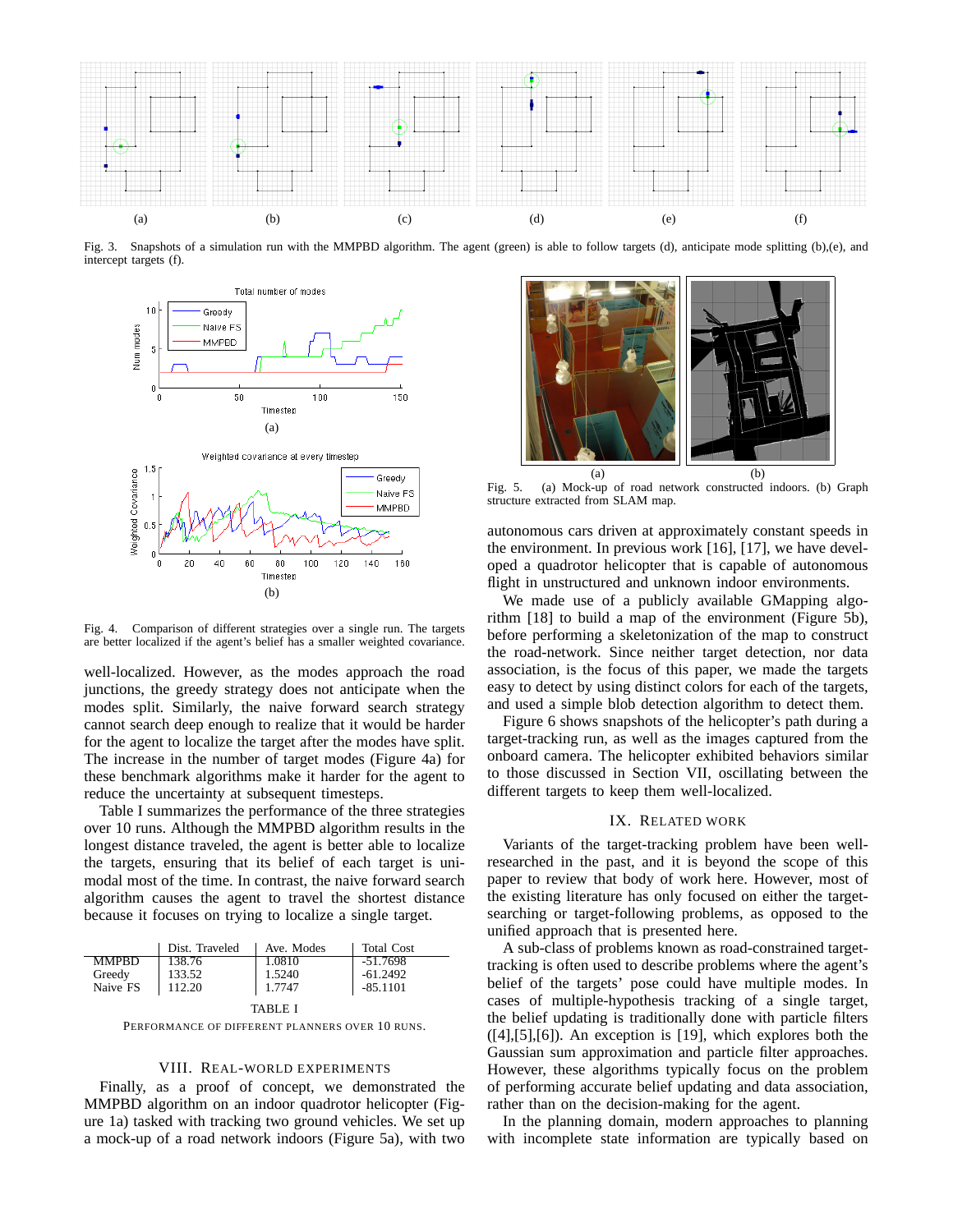

Fig. 3. Snapshots of a simulation run with the MMPBD algorithm. The agent (green) is able to follow targets (d), anticipate mode splitting (b),(e), and intercept targets (f).



Fig. 4. Comparison of different strategies over a single run. The targets are better localized if the agent's belief has a smaller weighted covariance.

well-localized. However, as the modes approach the road junctions, the greedy strategy does not anticipate when the modes split. Similarly, the naive forward search strategy cannot search deep enough to realize that it would be harder for the agent to localize the target after the modes have split. The increase in the number of target modes (Figure 4a) for these benchmark algorithms make it harder for the agent to reduce the uncertainty at subsequent timesteps.

Table I summarizes the performance of the three strategies over 10 runs. Although the MMPBD algorithm results in the longest distance traveled, the agent is better able to localize the targets, ensuring that its belief of each target is unimodal most of the time. In contrast, the naive forward search algorithm causes the agent to travel the shortest distance because it focuses on trying to localize a single target.

|              | Dist. Traveled | Ave. Modes | <b>Total Cost</b> |
|--------------|----------------|------------|-------------------|
| <b>MMPBD</b> | 138.76         | 1.0810     | -51.7698          |
| Greedy       | 133.52         | 1.5240     | -61.2492          |
| Naive FS     | 112.20         | 1.7747     | $-85.1101$        |
| TABLE I      |                |            |                   |

PERFORMANCE OF DIFFERENT PLANNERS OVER 10 RUNS.

#### VIII. REAL-WORLD EXPERIMENTS

Finally, as a proof of concept, we demonstrated the MMPBD algorithm on an indoor quadrotor helicopter (Figure 1a) tasked with tracking two ground vehicles. We set up a mock-up of a road network indoors (Figure 5a), with two



Fig. 5. (a) Mock-up of road network constructed indoors. (b) Graph structure extracted from SLAM map.

autonomous cars driven at approximately constant speeds in the environment. In previous work [16], [17], we have developed a quadrotor helicopter that is capable of autonomous flight in unstructured and unknown indoor environments.

We made use of a publicly available GMapping algorithm [18] to build a map of the environment (Figure 5b), before performing a skeletonization of the map to construct the road-network. Since neither target detection, nor data association, is the focus of this paper, we made the targets easy to detect by using distinct colors for each of the targets, and used a simple blob detection algorithm to detect them.

Figure 6 shows snapshots of the helicopter's path during a target-tracking run, as well as the images captured from the onboard camera. The helicopter exhibited behaviors similar to those discussed in Section VII, oscillating between the different targets to keep them well-localized.

## IX. RELATED WORK

Variants of the target-tracking problem have been wellresearched in the past, and it is beyond the scope of this paper to review that body of work here. However, most of the existing literature has only focused on either the targetsearching or target-following problems, as opposed to the unified approach that is presented here.

A sub-class of problems known as road-constrained targettracking is often used to describe problems where the agent's belief of the targets' pose could have multiple modes. In cases of multiple-hypothesis tracking of a single target, the belief updating is traditionally done with particle filters  $([4],[5],[6])$ . An exception is [19], which explores both the Gaussian sum approximation and particle filter approaches. However, these algorithms typically focus on the problem of performing accurate belief updating and data association, rather than on the decision-making for the agent.

In the planning domain, modern approaches to planning with incomplete state information are typically based on